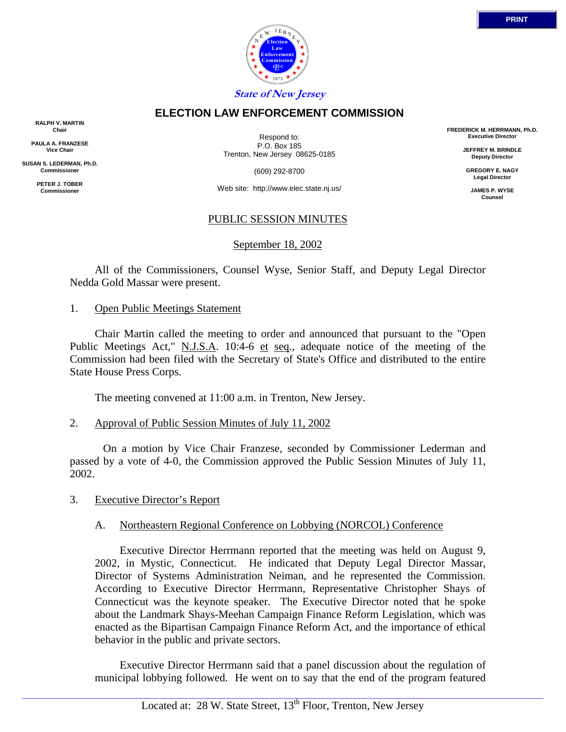

# **ELECTION LAW ENFORCEMENT COMMISSION**

**RALPH V. MARTIN Chair**

**PAULA A. FRANZESE Vice Chair**

**SUSAN S. LEDERMAN, Ph.D. Commissioner**

> **PETER J. TOBER Commissioner**

Respond to: P.O. Box 185 Trenton, New Jersey 08625-0185

(609) 292-8700

Web site: http://www.elec.state.nj.us/

# PUBLIC SESSION MINUTES

September 18, 2002

 All of the Commissioners, Counsel Wyse, Senior Staff, and Deputy Legal Director Nedda Gold Massar were present.

#### 1. Open Public Meetings Statement

 Chair Martin called the meeting to order and announced that pursuant to the "Open Public Meetings Act," N.J.S.A. 10:4-6 et seq., adequate notice of the meeting of the Commission had been filed with the Secretary of State's Office and distributed to the entire State House Press Corps.

The meeting convened at 11:00 a.m. in Trenton, New Jersey.

### 2. Approval of Public Session Minutes of July 11, 2002

 On a motion by Vice Chair Franzese, seconded by Commissioner Lederman and passed by a vote of 4-0, the Commission approved the Public Session Minutes of July 11, 2002.

### 3. Executive Director's Report

### A. Northeastern Regional Conference on Lobbying (NORCOL) Conference

 Executive Director Herrmann reported that the meeting was held on August 9, 2002, in Mystic, Connecticut. He indicated that Deputy Legal Director Massar, Director of Systems Administration Neiman, and he represented the Commission. According to Executive Director Herrmann, Representative Christopher Shays of Connecticut was the keynote speaker. The Executive Director noted that he spoke about the Landmark Shays-Meehan Campaign Finance Reform Legislation, which was enacted as the Bipartisan Campaign Finance Reform Act, and the importance of ethical behavior in the public and private sectors.

 Executive Director Herrmann said that a panel discussion about the regulation of municipal lobbying followed. He went on to say that the end of the program featured

 $\_$  ,  $\_$  ,  $\_$  ,  $\_$  ,  $\_$  ,  $\_$  ,  $\_$  ,  $\_$  ,  $\_$  ,  $\_$  ,  $\_$  ,  $\_$  ,  $\_$  ,  $\_$  ,  $\_$  ,  $\_$  ,  $\_$  ,  $\_$  ,  $\_$  ,  $\_$  ,  $\_$  ,  $\_$  ,  $\_$  ,  $\_$  ,  $\_$  ,  $\_$  ,  $\_$  ,  $\_$  ,  $\_$  ,  $\_$  ,  $\_$  ,  $\_$  ,  $\_$  ,  $\_$  ,  $\_$  ,  $\_$  ,  $\_$  ,

**FREDERICK M. HERRMANN, Ph.D. Executive Director**

> **JEFFREY M. BRINDLE Deputy Director**

**GREGORY E. NAGY Legal Director**

**JAMES P. WYSE Counsel**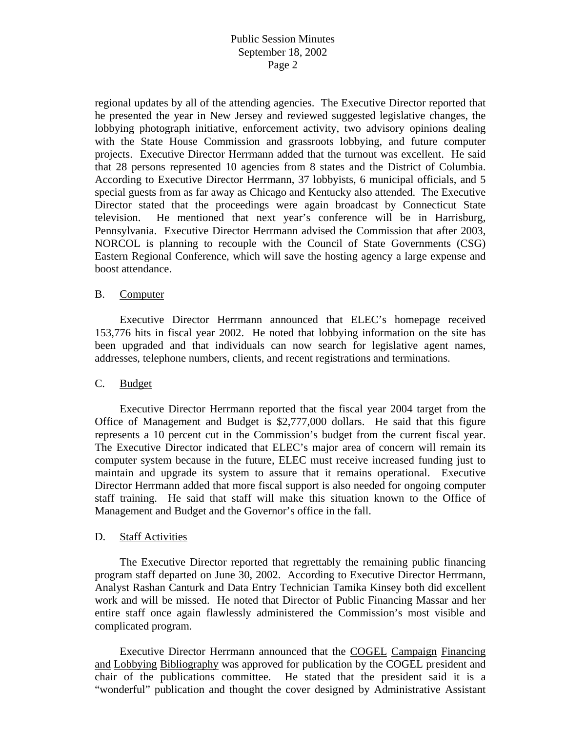regional updates by all of the attending agencies. The Executive Director reported that he presented the year in New Jersey and reviewed suggested legislative changes, the lobbying photograph initiative, enforcement activity, two advisory opinions dealing with the State House Commission and grassroots lobbying, and future computer projects. Executive Director Herrmann added that the turnout was excellent. He said that 28 persons represented 10 agencies from 8 states and the District of Columbia. According to Executive Director Herrmann, 37 lobbyists, 6 municipal officials, and 5 special guests from as far away as Chicago and Kentucky also attended. The Executive Director stated that the proceedings were again broadcast by Connecticut State television. He mentioned that next year's conference will be in Harrisburg, Pennsylvania. Executive Director Herrmann advised the Commission that after 2003, NORCOL is planning to recouple with the Council of State Governments (CSG) Eastern Regional Conference, which will save the hosting agency a large expense and boost attendance.

### B. Computer

 Executive Director Herrmann announced that ELEC's homepage received 153,776 hits in fiscal year 2002. He noted that lobbying information on the site has been upgraded and that individuals can now search for legislative agent names, addresses, telephone numbers, clients, and recent registrations and terminations.

### C. Budget

 Executive Director Herrmann reported that the fiscal year 2004 target from the Office of Management and Budget is \$2,777,000 dollars. He said that this figure represents a 10 percent cut in the Commission's budget from the current fiscal year. The Executive Director indicated that ELEC's major area of concern will remain its computer system because in the future, ELEC must receive increased funding just to maintain and upgrade its system to assure that it remains operational. Executive Director Herrmann added that more fiscal support is also needed for ongoing computer staff training. He said that staff will make this situation known to the Office of Management and Budget and the Governor's office in the fall.

### D. Staff Activities

 The Executive Director reported that regrettably the remaining public financing program staff departed on June 30, 2002. According to Executive Director Herrmann, Analyst Rashan Canturk and Data Entry Technician Tamika Kinsey both did excellent work and will be missed. He noted that Director of Public Financing Massar and her entire staff once again flawlessly administered the Commission's most visible and complicated program.

 Executive Director Herrmann announced that the COGEL Campaign Financing and Lobbying Bibliography was approved for publication by the COGEL president and chair of the publications committee. He stated that the president said it is a "wonderful" publication and thought the cover designed by Administrative Assistant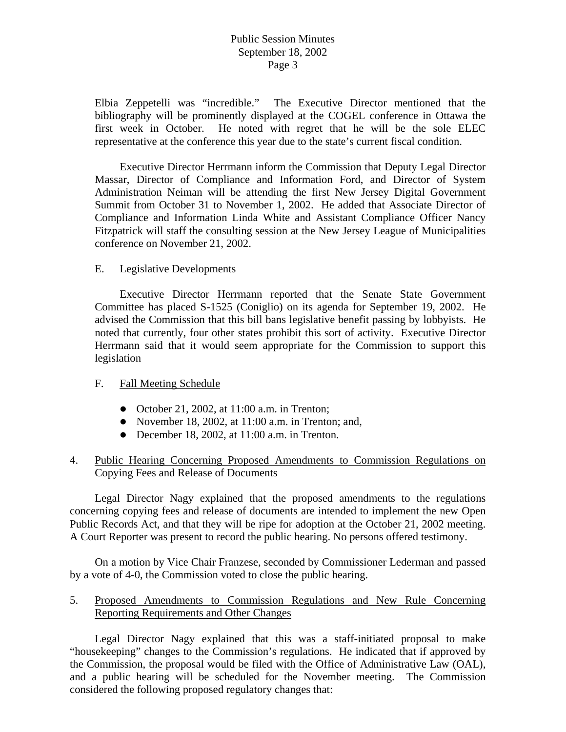Elbia Zeppetelli was "incredible." The Executive Director mentioned that the bibliography will be prominently displayed at the COGEL conference in Ottawa the first week in October. He noted with regret that he will be the sole ELEC representative at the conference this year due to the state's current fiscal condition.

 Executive Director Herrmann inform the Commission that Deputy Legal Director Massar, Director of Compliance and Information Ford, and Director of System Administration Neiman will be attending the first New Jersey Digital Government Summit from October 31 to November 1, 2002. He added that Associate Director of Compliance and Information Linda White and Assistant Compliance Officer Nancy Fitzpatrick will staff the consulting session at the New Jersey League of Municipalities conference on November 21, 2002.

#### E. Legislative Developments

 Executive Director Herrmann reported that the Senate State Government Committee has placed S-1525 (Coniglio) on its agenda for September 19, 2002. He advised the Commission that this bill bans legislative benefit passing by lobbyists. He noted that currently, four other states prohibit this sort of activity. Executive Director Herrmann said that it would seem appropriate for the Commission to support this legislation

#### F. Fall Meeting Schedule

- October 21, 2002, at  $11:00$  a.m. in Trenton;
- November 18, 2002, at  $11:00$  a.m. in Trenton; and,
- $\bullet$  December 18, 2002, at 11:00 a.m. in Trenton.

### 4. Public Hearing Concerning Proposed Amendments to Commission Regulations on Copying Fees and Release of Documents

 Legal Director Nagy explained that the proposed amendments to the regulations concerning copying fees and release of documents are intended to implement the new Open Public Records Act, and that they will be ripe for adoption at the October 21, 2002 meeting. A Court Reporter was present to record the public hearing. No persons offered testimony.

 On a motion by Vice Chair Franzese, seconded by Commissioner Lederman and passed by a vote of 4-0, the Commission voted to close the public hearing.

### 5. Proposed Amendments to Commission Regulations and New Rule Concerning Reporting Requirements and Other Changes

 Legal Director Nagy explained that this was a staff-initiated proposal to make "housekeeping" changes to the Commission's regulations. He indicated that if approved by the Commission, the proposal would be filed with the Office of Administrative Law (OAL), and a public hearing will be scheduled for the November meeting. The Commission considered the following proposed regulatory changes that: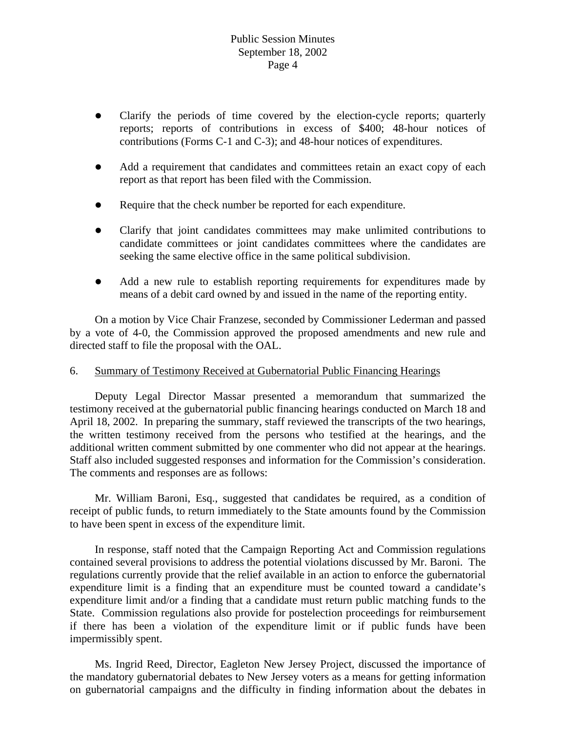- Clarify the periods of time covered by the election-cycle reports; quarterly reports; reports of contributions in excess of \$400; 48-hour notices of contributions (Forms C-1 and C-3); and 48-hour notices of expenditures.
- Add a requirement that candidates and committees retain an exact copy of each report as that report has been filed with the Commission.
- Require that the check number be reported for each expenditure.
- z Clarify that joint candidates committees may make unlimited contributions to candidate committees or joint candidates committees where the candidates are seeking the same elective office in the same political subdivision.
- Add a new rule to establish reporting requirements for expenditures made by means of a debit card owned by and issued in the name of the reporting entity.

 On a motion by Vice Chair Franzese, seconded by Commissioner Lederman and passed by a vote of 4-0, the Commission approved the proposed amendments and new rule and directed staff to file the proposal with the OAL.

### 6. Summary of Testimony Received at Gubernatorial Public Financing Hearings

 Deputy Legal Director Massar presented a memorandum that summarized the testimony received at the gubernatorial public financing hearings conducted on March 18 and April 18, 2002. In preparing the summary, staff reviewed the transcripts of the two hearings, the written testimony received from the persons who testified at the hearings, and the additional written comment submitted by one commenter who did not appear at the hearings. Staff also included suggested responses and information for the Commission's consideration. The comments and responses are as follows:

 Mr. William Baroni, Esq., suggested that candidates be required, as a condition of receipt of public funds, to return immediately to the State amounts found by the Commission to have been spent in excess of the expenditure limit.

 In response, staff noted that the Campaign Reporting Act and Commission regulations contained several provisions to address the potential violations discussed by Mr. Baroni. The regulations currently provide that the relief available in an action to enforce the gubernatorial expenditure limit is a finding that an expenditure must be counted toward a candidate's expenditure limit and/or a finding that a candidate must return public matching funds to the State. Commission regulations also provide for postelection proceedings for reimbursement if there has been a violation of the expenditure limit or if public funds have been impermissibly spent.

 Ms. Ingrid Reed, Director, Eagleton New Jersey Project, discussed the importance of the mandatory gubernatorial debates to New Jersey voters as a means for getting information on gubernatorial campaigns and the difficulty in finding information about the debates in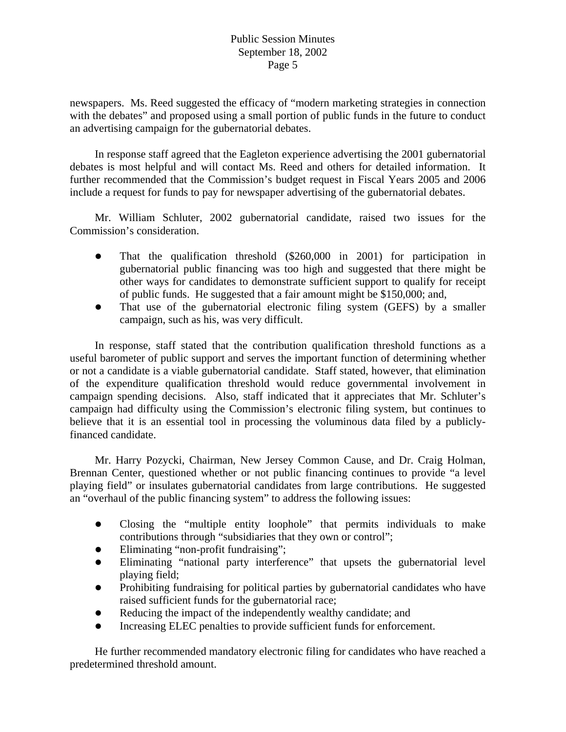newspapers. Ms. Reed suggested the efficacy of "modern marketing strategies in connection with the debates" and proposed using a small portion of public funds in the future to conduct an advertising campaign for the gubernatorial debates.

 In response staff agreed that the Eagleton experience advertising the 2001 gubernatorial debates is most helpful and will contact Ms. Reed and others for detailed information. It further recommended that the Commission's budget request in Fiscal Years 2005 and 2006 include a request for funds to pay for newspaper advertising of the gubernatorial debates.

 Mr. William Schluter, 2002 gubernatorial candidate, raised two issues for the Commission's consideration.

- That the qualification threshold  $(\$260,000$  in 2001) for participation in gubernatorial public financing was too high and suggested that there might be other ways for candidates to demonstrate sufficient support to qualify for receipt of public funds. He suggested that a fair amount might be \$150,000; and,
- That use of the gubernatorial electronic filing system (GEFS) by a smaller campaign, such as his, was very difficult.

 In response, staff stated that the contribution qualification threshold functions as a useful barometer of public support and serves the important function of determining whether or not a candidate is a viable gubernatorial candidate. Staff stated, however, that elimination of the expenditure qualification threshold would reduce governmental involvement in campaign spending decisions. Also, staff indicated that it appreciates that Mr. Schluter's campaign had difficulty using the Commission's electronic filing system, but continues to believe that it is an essential tool in processing the voluminous data filed by a publiclyfinanced candidate.

 Mr. Harry Pozycki, Chairman, New Jersey Common Cause, and Dr. Craig Holman, Brennan Center, questioned whether or not public financing continues to provide "a level playing field" or insulates gubernatorial candidates from large contributions. He suggested an "overhaul of the public financing system" to address the following issues:

- Closing the "multiple entity loophole" that permits individuals to make contributions through "subsidiaries that they own or control";
- Eliminating "non-profit fundraising";
- Eliminating "national party interference" that upsets the gubernatorial level playing field;
- Prohibiting fundraising for political parties by gubernatorial candidates who have raised sufficient funds for the gubernatorial race;
- Reducing the impact of the independently wealthy candidate; and
- Increasing ELEC penalties to provide sufficient funds for enforcement.

 He further recommended mandatory electronic filing for candidates who have reached a predetermined threshold amount.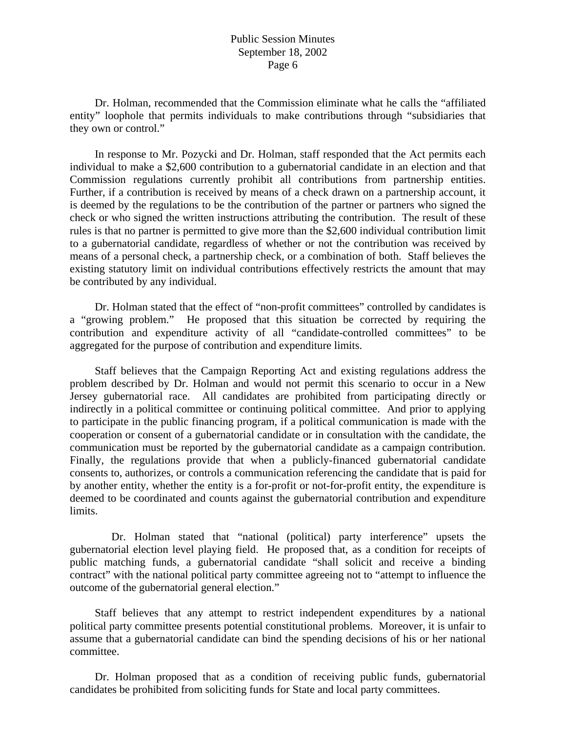Dr. Holman, recommended that the Commission eliminate what he calls the "affiliated entity" loophole that permits individuals to make contributions through "subsidiaries that they own or control."

 In response to Mr. Pozycki and Dr. Holman, staff responded that the Act permits each individual to make a \$2,600 contribution to a gubernatorial candidate in an election and that Commission regulations currently prohibit all contributions from partnership entities. Further, if a contribution is received by means of a check drawn on a partnership account, it is deemed by the regulations to be the contribution of the partner or partners who signed the check or who signed the written instructions attributing the contribution. The result of these rules is that no partner is permitted to give more than the \$2,600 individual contribution limit to a gubernatorial candidate, regardless of whether or not the contribution was received by means of a personal check, a partnership check, or a combination of both. Staff believes the existing statutory limit on individual contributions effectively restricts the amount that may be contributed by any individual.

 Dr. Holman stated that the effect of "non-profit committees" controlled by candidates is a "growing problem." He proposed that this situation be corrected by requiring the contribution and expenditure activity of all "candidate-controlled committees" to be aggregated for the purpose of contribution and expenditure limits.

 Staff believes that the Campaign Reporting Act and existing regulations address the problem described by Dr. Holman and would not permit this scenario to occur in a New Jersey gubernatorial race. All candidates are prohibited from participating directly or indirectly in a political committee or continuing political committee. And prior to applying to participate in the public financing program, if a political communication is made with the cooperation or consent of a gubernatorial candidate or in consultation with the candidate, the communication must be reported by the gubernatorial candidate as a campaign contribution. Finally, the regulations provide that when a publicly-financed gubernatorial candidate consents to, authorizes, or controls a communication referencing the candidate that is paid for by another entity, whether the entity is a for-profit or not-for-profit entity, the expenditure is deemed to be coordinated and counts against the gubernatorial contribution and expenditure limits.

 Dr. Holman stated that "national (political) party interference" upsets the gubernatorial election level playing field. He proposed that, as a condition for receipts of public matching funds, a gubernatorial candidate "shall solicit and receive a binding contract" with the national political party committee agreeing not to "attempt to influence the outcome of the gubernatorial general election."

 Staff believes that any attempt to restrict independent expenditures by a national political party committee presents potential constitutional problems. Moreover, it is unfair to assume that a gubernatorial candidate can bind the spending decisions of his or her national committee.

 Dr. Holman proposed that as a condition of receiving public funds, gubernatorial candidates be prohibited from soliciting funds for State and local party committees.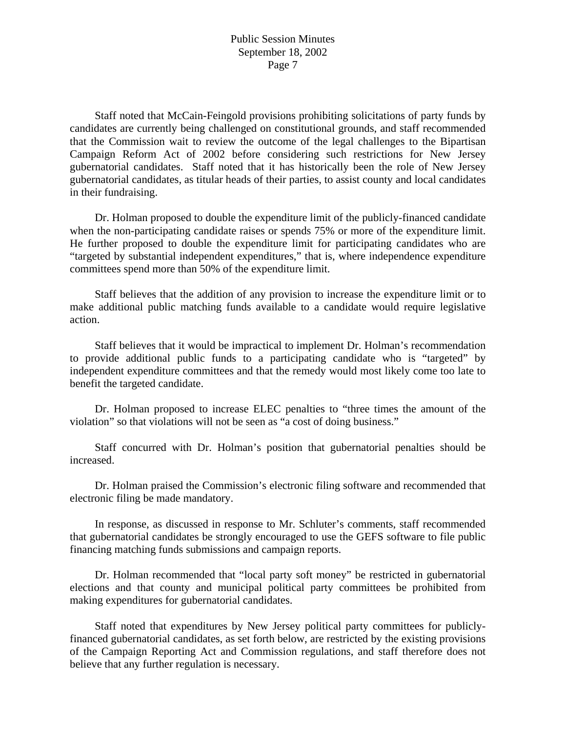Staff noted that McCain-Feingold provisions prohibiting solicitations of party funds by candidates are currently being challenged on constitutional grounds, and staff recommended that the Commission wait to review the outcome of the legal challenges to the Bipartisan Campaign Reform Act of 2002 before considering such restrictions for New Jersey gubernatorial candidates. Staff noted that it has historically been the role of New Jersey gubernatorial candidates, as titular heads of their parties, to assist county and local candidates in their fundraising.

 Dr. Holman proposed to double the expenditure limit of the publicly-financed candidate when the non-participating candidate raises or spends 75% or more of the expenditure limit. He further proposed to double the expenditure limit for participating candidates who are "targeted by substantial independent expenditures," that is, where independence expenditure committees spend more than 50% of the expenditure limit.

 Staff believes that the addition of any provision to increase the expenditure limit or to make additional public matching funds available to a candidate would require legislative action.

 Staff believes that it would be impractical to implement Dr. Holman's recommendation to provide additional public funds to a participating candidate who is "targeted" by independent expenditure committees and that the remedy would most likely come too late to benefit the targeted candidate.

 Dr. Holman proposed to increase ELEC penalties to "three times the amount of the violation" so that violations will not be seen as "a cost of doing business."

 Staff concurred with Dr. Holman's position that gubernatorial penalties should be increased.

 Dr. Holman praised the Commission's electronic filing software and recommended that electronic filing be made mandatory.

 In response, as discussed in response to Mr. Schluter's comments, staff recommended that gubernatorial candidates be strongly encouraged to use the GEFS software to file public financing matching funds submissions and campaign reports.

 Dr. Holman recommended that "local party soft money" be restricted in gubernatorial elections and that county and municipal political party committees be prohibited from making expenditures for gubernatorial candidates.

 Staff noted that expenditures by New Jersey political party committees for publiclyfinanced gubernatorial candidates, as set forth below, are restricted by the existing provisions of the Campaign Reporting Act and Commission regulations, and staff therefore does not believe that any further regulation is necessary.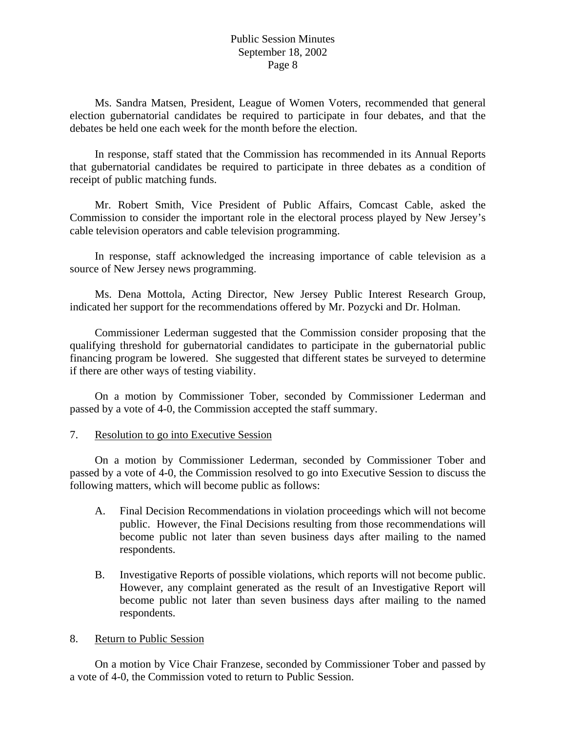Ms. Sandra Matsen, President, League of Women Voters, recommended that general election gubernatorial candidates be required to participate in four debates, and that the debates be held one each week for the month before the election.

 In response, staff stated that the Commission has recommended in its Annual Reports that gubernatorial candidates be required to participate in three debates as a condition of receipt of public matching funds.

 Mr. Robert Smith, Vice President of Public Affairs, Comcast Cable, asked the Commission to consider the important role in the electoral process played by New Jersey's cable television operators and cable television programming.

 In response, staff acknowledged the increasing importance of cable television as a source of New Jersey news programming.

 Ms. Dena Mottola, Acting Director, New Jersey Public Interest Research Group, indicated her support for the recommendations offered by Mr. Pozycki and Dr. Holman.

 Commissioner Lederman suggested that the Commission consider proposing that the qualifying threshold for gubernatorial candidates to participate in the gubernatorial public financing program be lowered. She suggested that different states be surveyed to determine if there are other ways of testing viability.

 On a motion by Commissioner Tober, seconded by Commissioner Lederman and passed by a vote of 4-0, the Commission accepted the staff summary.

### 7. Resolution to go into Executive Session

 On a motion by Commissioner Lederman, seconded by Commissioner Tober and passed by a vote of 4-0, the Commission resolved to go into Executive Session to discuss the following matters, which will become public as follows:

- A. Final Decision Recommendations in violation proceedings which will not become public. However, the Final Decisions resulting from those recommendations will become public not later than seven business days after mailing to the named respondents.
- B. Investigative Reports of possible violations, which reports will not become public. However, any complaint generated as the result of an Investigative Report will become public not later than seven business days after mailing to the named respondents.

#### 8. Return to Public Session

On a motion by Vice Chair Franzese, seconded by Commissioner Tober and passed by a vote of 4-0, the Commission voted to return to Public Session.